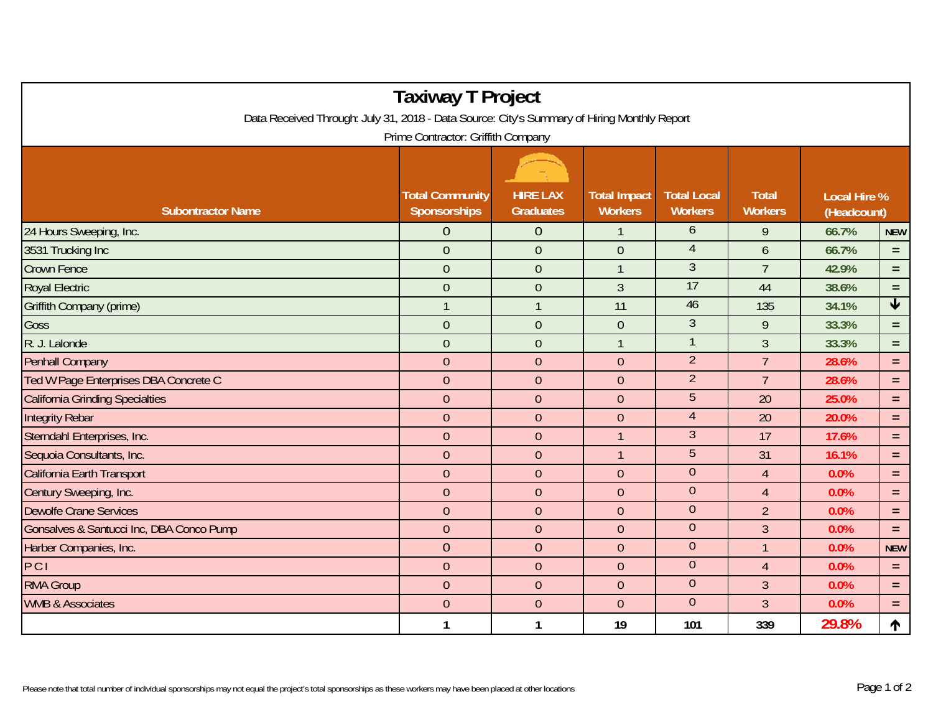|                                                                                                                                   | <b>Taxiway T Project</b>               |                                     |                                       |                                      |                                |                                    |                 |  |  |  |  |  |
|-----------------------------------------------------------------------------------------------------------------------------------|----------------------------------------|-------------------------------------|---------------------------------------|--------------------------------------|--------------------------------|------------------------------------|-----------------|--|--|--|--|--|
| Data Received Through: July 31, 2018 - Data Source: City's Summary of Hiring Monthly Report<br>Prime Contractor: Griffith Company |                                        |                                     |                                       |                                      |                                |                                    |                 |  |  |  |  |  |
|                                                                                                                                   |                                        |                                     |                                       |                                      |                                |                                    |                 |  |  |  |  |  |
| <b>Subontractor Name</b>                                                                                                          | <b>Total Community</b><br>Sponsorships | <b>HIRE LAX</b><br><b>Graduates</b> | <b>Total Impact</b><br><b>Workers</b> | <b>Total Local</b><br><b>Workers</b> | <b>Total</b><br><b>Workers</b> | <b>Local Hire %</b><br>(Headcount) |                 |  |  |  |  |  |
| 24 Hours Sweeping, Inc.                                                                                                           | $\overline{0}$                         | $\overline{0}$                      |                                       | 6                                    | 9                              | 66.7%                              | <b>NEW</b>      |  |  |  |  |  |
| 3531 Trucking Inc                                                                                                                 | $\mathbf{0}$                           | $\overline{0}$                      | $\overline{0}$                        | $\overline{4}$                       | 6                              | 66.7%                              | $=$             |  |  |  |  |  |
| <b>Crown Fence</b>                                                                                                                | $\theta$                               | $\overline{0}$                      | 1                                     | $\overline{3}$                       | $\overline{7}$                 | 42.9%                              | $\equiv$        |  |  |  |  |  |
| <b>Royal Electric</b>                                                                                                             | $\boldsymbol{0}$                       | $\overline{0}$                      | 3                                     | 17                                   | 44                             | 38.6%                              | $\equiv$        |  |  |  |  |  |
| Griffith Company (prime)                                                                                                          | $\mathbf{1}$                           |                                     | 11                                    | 46                                   | 135                            | 34.1%                              | $\blacklozenge$ |  |  |  |  |  |
| Goss                                                                                                                              | $\mathbf{0}$                           | $\overline{0}$                      | $\overline{0}$                        | $\mathfrak{Z}$                       | $\mathsf{q}$                   | 33.3%                              | $\equiv$        |  |  |  |  |  |
| R. J. Lalonde                                                                                                                     | $\overline{0}$                         | $\overline{0}$                      | 1                                     |                                      | $\overline{3}$                 | 33.3%                              | $\equiv$        |  |  |  |  |  |
| <b>Penhall Company</b>                                                                                                            | $\overline{0}$                         | $\overline{0}$                      | $\overline{0}$                        | $\overline{2}$                       | $\overline{7}$                 | 28.6%                              | $\equiv$        |  |  |  |  |  |
| Ted W Page Enterprises DBA Concrete C                                                                                             | $\overline{0}$                         | $\overline{0}$                      | $\overline{0}$                        | $\overline{2}$                       | $\overline{7}$                 | 28.6%                              | $\equiv$        |  |  |  |  |  |
| <b>California Grinding Specialties</b>                                                                                            | $\mathbf{0}$                           | $\overline{0}$                      | $\overline{0}$                        | 5                                    | 20                             | 25.0%                              | $\equiv$        |  |  |  |  |  |
| <b>Integrity Rebar</b>                                                                                                            | $\mathbf{0}$                           | $\overline{0}$                      | $\overline{0}$                        | $\overline{4}$                       | 20                             | 20.0%                              | $\equiv$        |  |  |  |  |  |
| Sterndahl Enterprises, Inc.                                                                                                       | $\mathbf{0}$                           | $\overline{0}$                      | $\mathbf{1}$                          | $\mathfrak{Z}$                       | 17                             | 17.6%                              | $\equiv$        |  |  |  |  |  |
| Sequoia Consultants, Inc.                                                                                                         | $\overline{0}$                         | $\theta$                            | $\mathbf{1}$                          | 5                                    | 31                             | 16.1%                              | $\equiv$        |  |  |  |  |  |
| California Earth Transport                                                                                                        | $\mathbf{0}$                           | $\overline{0}$                      | $\overline{0}$                        | $\overline{0}$                       | $\overline{4}$                 | 0.0%                               | $\equiv$        |  |  |  |  |  |
| Century Sweeping, Inc.                                                                                                            | $\theta$                               | $\theta$                            | $\mathbf 0$                           | $\overline{0}$                       | $\overline{4}$                 | 0.0%                               | $\equiv$        |  |  |  |  |  |
| <b>Dewolfe Crane Services</b>                                                                                                     | $\mathbf{0}$                           | $\mathbf{0}$                        | $\mathbf 0$                           | $\overline{0}$                       | $\overline{2}$                 | 0.0%                               | $=$             |  |  |  |  |  |
| Gonsalves & Santucci Inc, DBA Conco Pump                                                                                          | $\overline{0}$                         | $\theta$                            | $\mathbf 0$                           | $\overline{0}$                       | $\overline{3}$                 | 0.0%                               | $\equiv$        |  |  |  |  |  |
| Harber Companies, Inc.                                                                                                            | $\overline{0}$                         | $\theta$                            | $\mathbf 0$                           | $\overline{0}$                       | $\overline{1}$                 | 0.0%                               | <b>NEW</b>      |  |  |  |  |  |
| PCI                                                                                                                               | $\theta$                               | $\theta$                            | $\mathbf 0$                           | $\theta$                             | $\overline{4}$                 | 0.0%                               | $\equiv$        |  |  |  |  |  |
| <b>RMA Group</b>                                                                                                                  | $\overline{0}$                         | $\boldsymbol{0}$                    | $\mathbf 0$                           | $\mathbf 0$                          | $\overline{3}$                 | 0.0%                               | $\equiv$        |  |  |  |  |  |
| <b>WMB &amp; Associates</b>                                                                                                       | $\overline{0}$                         | $\theta$                            | $\mathbf 0$                           | $\theta$                             | $\overline{3}$                 | 0.0%                               | $\equiv$        |  |  |  |  |  |
|                                                                                                                                   | 1                                      | 1                                   | 19                                    | 101                                  | 339                            | 29.8%                              | ↑               |  |  |  |  |  |